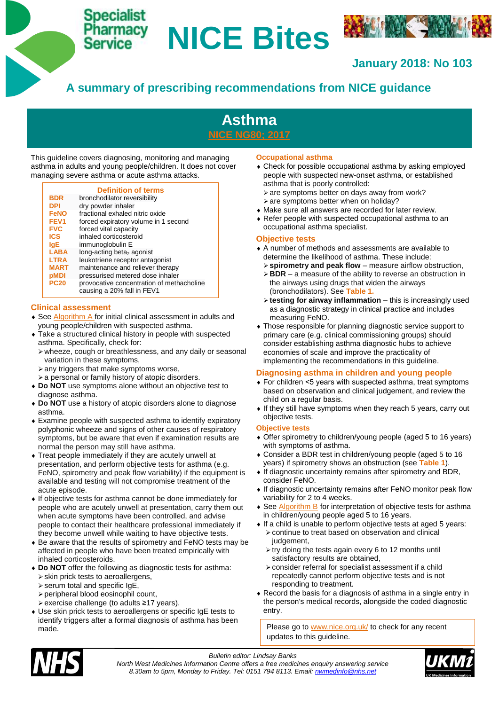# **Specialist**

# **NICE Bites**



# **January 2018: No 103**

# **A summary of prescribing recommendations from NICE guidance**



This guideline covers diagnosing, monitoring and managing asthma in adults and young people/children. It does not cover managing severe asthma or acute asthma attacks.

# **Definition of terms**

| BDR<br><b>DPI</b> | bronchodilator reversibility<br>dry powder inhaler                      |
|-------------------|-------------------------------------------------------------------------|
| <b>FeNO</b>       | fractional exhaled nitric oxide                                         |
| FEV <sub>1</sub>  | forced expiratory volume in 1 second                                    |
| <b>FVC</b>        | forced vital capacity                                                   |
| <b>ICS</b>        | inhaled corticosteroid                                                  |
| lqE               | immunoglobulin E                                                        |
| <b>LABA</b>       | long-acting beta <sub>2</sub> agonist                                   |
| <b>LTRA</b>       | leukotriene receptor antagonist                                         |
| <b>MART</b>       | maintenance and reliever therapy                                        |
| pMDI              | pressurised metered dose inhaler                                        |
| <b>PC20</b>       | provocative concentration of methacholine<br>causing a 20% fall in FEV1 |
|                   |                                                                         |

#### **Clinical assessment**

- ◆ See [Algorithm A](https://www.nice.org.uk/guidance/ng80/resources/algorithm-a-initial-clinical-assessment-for-adults-young-people-and-children-with-suspected-asthma-pdf-4656176749) for initial clinical assessment in adults and young people/children with suspected asthma.
- Take a structured clinical history in people with suspected asthma. Specifically, check for:
	- wheeze, cough or breathlessness, and any daily or seasonal variation in these symptoms,
	- $\triangleright$  any triggers that make symptoms worse,
	- $\geq a$  personal or family history of atopic disorders.
- **Do NOT** use symptoms alone without an [objective test to](https://www.nice.org.uk/guidance/ng80/chapter/recommendations#objective-test-to-diagnose-asthma)  [diagnose asthma.](https://www.nice.org.uk/guidance/ng80/chapter/recommendations#objective-test-to-diagnose-asthma)
- **Do NOT** use a history of atopic disorders alone to diagnose asthma.
- Examine people with suspected asthma to identify expiratory polyphonic wheeze and signs of other causes of respiratory symptoms, but be aware that even if examination results are normal the person may still have asthma.
- Treat people immediately if they are acutely unwell at presentation, and perform objective tests for asthma (e.g. FeNO, spirometry and peak flow variability) if the equipment is available and testing will not compromise treatment of the acute episode.
- If objective tests for asthma cannot be done immediately for people who are acutely unwell at presentation, carry them out when acute symptoms have been controlled, and advise people to contact their healthcare professional immediately if they become unwell while waiting to have objective tests.
- Be aware that the results of spirometry and FeNO tests may be affected in people who have been treated empirically with inhaled corticosteroids.
- **Do NOT** offer the following as diagnostic tests for asthma: skin prick tests to aeroallergens,
	- $\triangleright$  serum total and specific IgE,
	- peripheral blood eosinophil count,
	- exercise challenge (to adults ≥17 years).
- Use skin prick tests to aeroallergens or specific IgE tests to identify triggers after a formal diagnosis of asthma has been made.

# **Occupational asthma**

- Check for possible occupational asthma by asking employed people with suspected new-onset asthma, or established asthma that is poorly controlled:
	- $\triangleright$  are symptoms better on days away from work?
	- $\ge$  are symptoms better when on holiday?
- Make sure all answers are recorded for later review.
- Refer people with suspected occupational asthma to an occupational asthma specialist.

# **Objective tests**

- A number of methods and assessments are available to determine the likelihood of asthma. These include:
	- **spirometry and peak flow** measure airflow obstruction,
	- **BDR**  a measure of the ability to reverse an obstruction in the airways using drugs that widen the airways (bronchodilators). See **Table 1.**
	- **testing for airway inflammation** this is increasingly used as a diagnostic strategy in clinical practice and includes measuring FeNO.
- Those responsible for planning diagnostic service support to primary care (e.g. clinical commissioning groups) should consider establishing asthma diagnostic hubs to achieve economies of scale and improve the practicality of implementing the recommendations in this guideline.

# **Diagnosing asthma in children and young people**

- For children ˂5 years with suspected asthma, treat symptoms based on observation and clinical judgement, and review the child on a regular basis.
- If they still have symptoms when they reach 5 years, carry out objective tests.

# **Objective tests**

- Offer spirometry to children/young people (aged 5 to 16 years) with symptoms of asthma.
- Consider a BDR test in children/young people (aged 5 to 16 years) if spirometry shows an obstruction (see **Table 1**).
- If diagnostic uncertainty remains after spirometry and BDR, consider FeNO.
- If diagnostic uncertainty remains after FeNO monitor peak flow variability for 2 to 4 weeks.
- See **Algorithm B** for interpretation of objective tests for asthma in children/young people aged 5 to 16 years.
- If a child is unable to perform objective tests at aged 5 years: continue to treat based on observation and clinical judgement,
	- $\triangleright$  try doing the tests again every 6 to 12 months until satisfactory results are obtained,
	- consider referral for specialist assessment if a child repeatedly cannot perform objective tests and is not responding to treatment.
- Record the basis for a diagnosis of asthma in a single entry in the person's medical records, alongside the coded diagnostic entry.

Please go to [www.nice.org.uk/](http://www.nice.org.uk/) to check for any recent updates to this guideline.



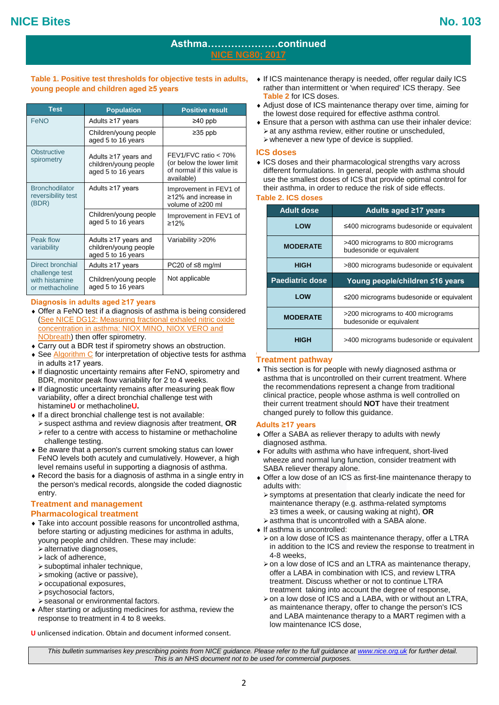# **Asthma…………………continued [NICE NG80; 2017](https://www.nice.org.uk/guidance/ng80)**

**Table 1. Positive test thresholds for objective tests in adults, young people and children aged ≥5 years**

| <b>Test</b>                                          | <b>Population</b>                                                         | <b>Positive result</b>                                                                             |
|------------------------------------------------------|---------------------------------------------------------------------------|----------------------------------------------------------------------------------------------------|
| FeNO                                                 | Adults ≥17 years                                                          | $≥40$ ppb                                                                                          |
|                                                      | Children/young people<br>aged 5 to 16 years                               | $≥35$ ppb                                                                                          |
| <b>Obstructive</b><br>spirometry                     | Adults $\geq$ 17 years and<br>children/young people<br>aged 5 to 16 years | $FEV1/FVC$ ratio $< 70\%$<br>(or below the lower limit<br>of normal if this value is<br>available) |
| <b>Bronchodilator</b><br>reversibility test<br>(BDR) | Adults $\geq$ 17 years                                                    | Improvement in FEV1 of<br>≥12% and increase in<br>volume of ≥200 ml                                |
|                                                      | Children/young people<br>aged 5 to 16 years                               | Improvement in FEV1 of<br>$\geq$ 12%                                                               |
| Peak flow<br>variability                             | Adults ≥17 years and<br>children/young people<br>aged 5 to 16 years       | Variability >20%                                                                                   |
| Direct bronchial                                     | Adults ≥17 years                                                          | PC20 of $\leq$ 8 mg/ml                                                                             |
| challenge test<br>with histamine<br>or methacholine  | Children/young people<br>aged 5 to 16 years                               | Not applicable                                                                                     |

#### **Diagnosis in adults aged ≥17 years**

- Offer a [FeNO](https://pathways.nice.org.uk/pathways/asthma#glossary-feno) test if a diagnosis of asthma is being considered [\(See NICE DG12: Measuring fractional exhaled nitric oxide](https://www.nice.org.uk/guidance/dg12)  [concentration in asthma: NIOX MINO, NIOX VERO and](https://www.nice.org.uk/guidance/dg12)  **NObreath**) then offer spirometry.
- Carry out a BDR test if spirometry shows an obstruction.
- ◆ See [Algorithm C](https://www.nice.org.uk/guidance/ng80/resources/algorithm-c-objective-tests-for-asthma-in-adults-aged-17-and-over-pdf-4656176751) for interpretation of objective tests for asthma in adults ≥17 years.
- If diagnostic uncertainty remains after FeNO, spirometry and BDR, monitor peak flow variability for 2 to 4 weeks.
- If diagnostic uncertainty remains after measuring peak flow variability, offer a direct bronchial challenge test with histamine**U** or methacholine**U.**
- $\bullet$  If a direct bronchial challenge test is not available:
- suspect asthma and review diagnosis after treatment, **OR**  $\triangleright$  refer to a centre with access to histamine or methacholine challenge testing.
- Be aware that a person's current smoking status can lower FeNO levels both acutely and cumulatively. However, a high level remains useful in supporting a diagnosis of asthma.
- Record the basis for a diagnosis of asthma in a single entry in the person's medical records, alongside the coded diagnostic entry.

# **Treatment and management**

# **Pharmacological treatment**

- Take into account possible reasons for uncontrolled asthma, before starting or adjusting medicines for asthma in adults, young people and children. These may include:
	- alternative diagnoses,
	- $\blacktriangleright$  lack of adherence.
	- suboptimal inhaler technique,
	- smoking (active or passive),
	- occupational exposures,
	- $\triangleright$  psychosocial factors.
- seasonal or environmental factors.
- After starting or adjusting medicines for asthma, review the response to treatment in 4 to 8 weeks.
- **U** unlicensed indication. Obtain and document informed consent.
- **Table 2** for ICS doses.  $\bullet$  If ICS maintenance therapy is needed, offer regular daily ICS rather than intermittent or 'when required' ICS therapy. See
	- Adjust dose of ICS maintenance therapy over time, aiming for the lowest dose required for effective asthma control.
	- Ensure that a person with asthma can use their inhaler device:  $\triangleright$  at any asthma review, either routine or unscheduled,  $\triangleright$  whenever a new type of device is supplied.

#### **ICS doses**

• ICS doses and their pharmacological strengths vary across different formulations. In general, people with asthma should use the smallest doses of ICS that provide optimal control for their asthma, in order to reduce the risk of side effects.

#### **Table 2. ICS doses**

| <b>Adult dose</b> | Adults aged ≥17 years                                         |
|-------------------|---------------------------------------------------------------|
| <b>LOW</b>        | ≤400 micrograms budesonide or equivalent                      |
| <b>MODERATE</b>   | >400 micrograms to 800 micrograms<br>budesonide or equivalent |
| <b>HIGH</b>       | >800 micrograms budesonide or equivalent                      |
| Paediatric dose   | Young people/children ≤16 years                               |
| LOW               | ≤200 micrograms budesonide or equivalent                      |
| <b>MODERATE</b>   | >200 micrograms to 400 micrograms<br>budesonide or equivalent |
| HIGH              | >400 micrograms budesonide or equivalent                      |

#### **Treatment pathway**

 This section is for people with newly diagnosed asthma or asthma that is uncontrolled on their current treatment. Where the recommendations represent a change from traditional clinical practice, people whose asthma is well controlled on their current treatment should **NOT** have their treatment changed purely to follow this guidance.

#### **Adults ≥17 years**

- Offer a SABA as reliever therapy to adults with newly diagnosed asthma.
- For adults with asthma who have infrequent, short-lived wheeze and normal lung function, consider treatment with SABA reliever therapy alone.
- Offer a low dose of an ICS as first-line maintenance therapy to adults with:
	- symptoms at presentation that clearly indicate the need for maintenance therapy (e.g. asthma-related symptoms ≥3 times a week, or causing waking at night), **OR**
	- asthma that is uncontrolled with a SABA alone.
- ▲ If asthma is uncontrolled:
- $\ge$  on a low dose of ICS as maintenance therapy, offer a LTRA in addition to the ICS and review the response to treatment in 4-8 weeks,
- $\geq$  on a low dose of ICS and an LTRA as maintenance therapy, offer a LABA in combination with ICS, and review LTRA treatment. Discuss whether or not to continue LTRA treatment taking into account the degree of response,
- > on a low dose of ICS and a LABA, with or without an LTRA, as maintenance therapy, offer to change the person's ICS and LABA maintenance therapy to a MART regimen with a low maintenance ICS dose,

*This bulletin summarises key prescribing points from NICE guidance. Please refer to the full guidance at www.nice.org.uk for further detail. This is an NHS document not to be used for commercial purposes.*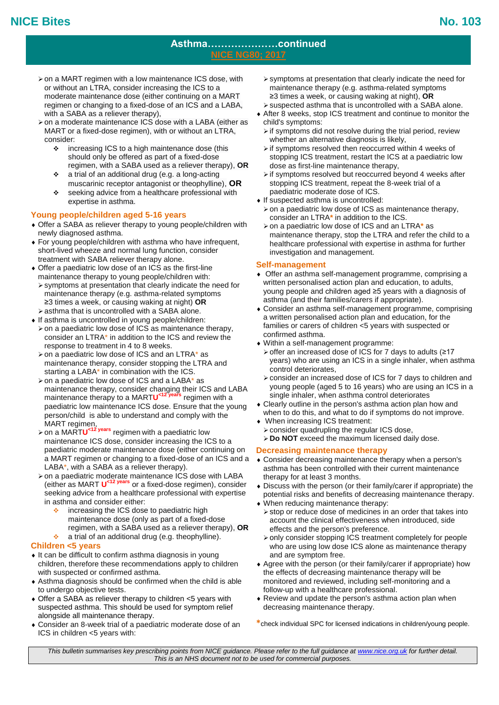# **Asthma…………………continued [NICE NG80; 2017](https://www.nice.org.uk/guidance/ng80)**

- moderate maintenance dose (either continuing on a MART ≥3  $\geq$  on a MART regimen with a low maintenance ICS dose, with or without an LTRA, consider increasing the ICS to a regimen or changing to a fixed-dose of an ICS and a LABA, with a SABA as a reliever therapy),
- on a moderate maintenance ICS dose with a LABA (either as MART or a fixed-dose regimen), with or without an LTRA, consider:
	- increasing ICS to a high maintenance dose (this should only be offered as part of a fixed-dose regimen, with a SABA used as a reliever therapy), **OR**
	- a trial of an additional drug (e.g. a long-acting muscarinic receptor antagonist or theophylline), **OR**
	- \* seeking advice from a healthcare professional with expertise in asthma.

# **Young people/children aged 5-16 years**

- Offer a SABA as reliever therapy to young people/children with newly diagnosed asthma.
- For young people/children with asthma who have infrequent, short-lived wheeze and normal lung function, consider treatment with SABA reliever therapy alone.
- Offer a paediatric low dose of an ICS as the first-line maintenance therapy to young people/children with: symptoms at presentation that clearly indicate the need for
- maintenance therapy (e.g. asthma-related symptoms ≥3 times a week, or causing waking at night) **OR** asthma that is uncontrolled with a SABA alone.
- $\bullet$  If asthma is uncontrolled in young people/children:
- $\triangleright$  on a paediatric low dose of ICS as maintenance therapy, consider an LTRA\* in addition to the ICS and review the response to treatment in 4 to 8 weeks.
- $\ge$  on a paediatric low dose of ICS and an LTRA $*$  as maintenance therapy, consider stopping the LTRA and starting a LABA\* in combination with the ICS.
- > on a paediatric low dose of ICS and a LABA\* as maintenance therapy, consider changing their ICS and LABA maintenance therapy to a MART**U <12 years** regimen with a paediatric low maintenance ICS dose. Ensure that the young person/child is able to understand and comply with the MART regimen,
- on a MART**U <12 years** regimen with a paediatric low maintenance ICS dose, consider increasing the ICS to a paediatric moderate maintenance dose (either continuing on a MART regimen or changing to a fixed-dose of an ICS and a LABA\*, with a SABA as a reliever therapy).
- on a paediatric moderate maintenance ICS dose with LABA (either as MART **U <12 years** or a fixed-dose regimen), consider seeking advice from a healthcare professional with expertise in asthma and consider either:
	- $\div$  increasing the ICS dose to paediatric high maintenance dose (only as part of a fixed-dose regimen, with a SABA used as a reliever therapy), **OR**
	- $\bullet$  a trial of an additional drug (e.g. theophylline).

# **Children <5 years**

- $\bullet$  It can be difficult to confirm asthma diagnosis in young children, therefore these recommendations apply to children with suspected or confirmed asthma.
- Asthma diagnosis should be confirmed when the child is able to undergo objective tests.
- Offer a SABA as reliever therapy to children <5 years with suspected asthma. This should be used for symptom relief alongside all maintenance therapy.
- Consider an 8-week trial of a paediatric moderate dose of an ICS in children <5 years with:
- symptoms at presentation that clearly indicate the need for maintenance therapy (e.g. asthma-related symptoms ≥3 times a week, or causing waking at night), **OR**
- suspected asthma that is uncontrolled with a SABA alone. After 8 weeks, stop ICS treatment and continue to monitor the child's symptoms:
	- $\triangleright$  if symptoms did not resolve during the trial period, review whether an alternative diagnosis is likely,
	- $\triangleright$  if symptoms resolved then reoccurred within 4 weeks of stopping ICS treatment, restart the ICS at a paediatric low dose as first-line maintenance therapy,
	- $\triangleright$  if symptoms resolved but reoccurred beyond 4 weeks after stopping ICS treatment, repeat the 8-week trial of a paediatric moderate dose of ICS.
- If suspected asthma is uncontrolled:
	- $\geq$  on a paediatric low dose of ICS as maintenance therapy. consider an LTRA**\*** in addition to the ICS.
- on a paediatric low dose of ICS and an LTRA**\*** as maintenance therapy, stop the LTRA and refer the child to a healthcare professional with expertise in asthma for further investigation and management.

#### **Self-management**

- Offer an asthma self-management programme, comprising a written personalised action plan and education, to adults, young people and children aged ≥5 years with a diagnosis of asthma (and their families/carers if appropriate).
- Consider an asthma self-management programme, comprising a written personalised action plan and education, for the families or carers of children <5 years with suspected or confirmed asthma.
- Within a self-management programme:
	- > offer an increased dose of ICS for 7 days to adults (≥17 years) who are using an ICS in a single inhaler, when asthma control deteriorates,
- consider an increased dose of ICS for 7 days to children and young people (aged 5 to 16 years) who are using an ICS in a single inhaler, when asthma control deteriorates
- Clearly outline in the person's asthma action plan how and when to do this, and what to do if symptoms do not improve.
- When increasing ICS treatment:
	- consider quadrupling the regular ICS dose,
	- **Do NOT** exceed the maximum licensed daily dose.

# **Decreasing maintenance therapy**

- Consider decreasing maintenance therapy when a person's asthma has been controlled with their current maintenance therapy for at least 3 months.
- Discuss with the person (or their family/carer if appropriate) the potential risks and benefits of decreasing maintenance therapy. When reducing maintenance therapy:
- $\triangleright$  stop or reduce dose of medicines in an order that takes into account the clinical effectiveness when introduced, side effects and the person's preference.
- only consider stopping ICS treatment completely for people who are using low dose ICS alone as maintenance therapy and are symptom free.
- Agree with the person (or their family/carer if appropriate) how the effects of decreasing maintenance therapy will be monitored and reviewed, including self-monitoring and a follow-up with a healthcare professional.
- Review and update the person's asthma action plan when decreasing maintenance therapy.

*This bulletin summarises key prescribing points from NICE guidance. Please refer to the full guidance at www.nice.org.uk for further detail. This is an NHS document not to be used for commercial purposes.*

**<sup>\*</sup>**check individual SPC for licensed indications in children/young people.